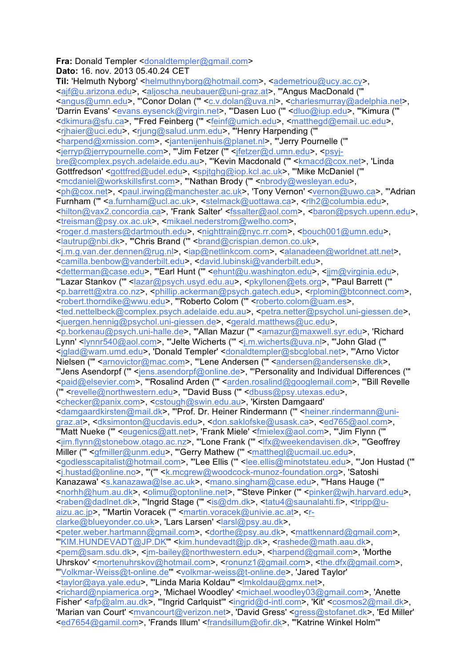## **Fra:** Donald Templer <donaldtempler@gmail.com> **Dato:** 16. nov. 2013 05.40.24 CET

**Til:** 'Helmuth Nyborg' <helmuthnyborg@hotmail.com>, <ademetriou@ucy.ac.cy>, <ajf@u.arizona.edu>, <aljoscha.neubauer@uni-graz.at>, "'Angus MacDonald ('" <angus@umn.edu>, "'Conor Dolan ('" <c.v.dolan@uva.nl>, <charlesmurray@adelphia.net>, 'Darrin Evans' <<u>evans.eysenck@virgin.net</u>>, "'Dasen Luo ('" <dluo@iup.edu>, "'Kimura (" <dkimura@sfu.ca>, "'Fred Feinberg ('" <feinf@umich.edu>, <matthegd@email.uc.edu>, <rjhaier@uci.edu>, <rjung@salud.unm.edu>, "'Henry Harpending ('" <harpend@xmission.com>, <jantenijenhuis@planet.nl>, "'Jerry Pournelle ('" <jerryp@jerrypournelle.com>, "'Jim Fetzer ('" <jfetzer@d.umn.edu>, <psyjbre@complex.psych.adelaide.edu.au>, "'Kevin Macdonald (" <kmacd@cox.net>, 'Linda Gottfredson' <gottfred@udel.edu>, <spjtghg@iop.kcl.ac.uk>, "'Mike McDaniel ('" <mcdaniel@workskillsfirst.com>, "'Nathan Brody ("' <nbrody@wesleyan.edu>, <ph@cox.net>, <paul.irwing@manchester.ac.uk>, 'Tony Vernon' <vernon@uwo.ca>, "'Adrian Furnham (" <a.furnham@ucl.ac.uk>, <stelmack@uottawa.ca>, <rlh2@columbia.edu>, <hilton@vax2.concordia.ca>, 'Frank Salter' <fssalter@aol.com>, <baron@psych.upenn.edu>, <treisman@psy.ox.ac.uk>, <mikael.nederstrom@welho.com>, <roger.d.masters@dartmouth.edu>, <nighttrain@nyc.rr.com>, <bouch001@umn.edu>, <lautrup@nbi.dk>, "'Chris Brand ('" <brand@crispian.demon.co.uk>, <j.m.g.van.der.dennen@rug.nl>, <iap@netlinkcom.com>, <alanadeen@worldnet.att.net>, <camilla.benbow@vanderbilt.edu>, <david.lubinski@vanderbilt.edu>, <detterman@case.edu>, "Earl Hunt (" <ehunt@u.washington.edu>, <jjm@virginia.edu>, "Lazar Stankov (" <lazar@psych.usyd.edu.au>, <pkyllonen@ets.org>, "'Paul Barrett (" <p.barrett@xtra.co.nz>, <phillip.ackerman@psych.gatech.edu>, <rplomin@btconnect.com>, <rbbert.thorndike@wwu.edu>, "'Roberto Colom (" <rbr/>oberto.colom@uam.es>, <ted.nettelbeck@complex.psych.adelaide.edu.au>, <petra.netter@psychol.uni-giessen.de>, <juergen.hennig@psychol.uni-giessen.de>, <gerald.matthews@uc.edu>, <p.borkenau@psych.uni-halle.de>, "'Allan Mazur ('" <amazur@maxwell.syr.edu>, 'Richard Lynn' <lynnr540@aol.com>, "'Jelte Wicherts ("' <j.m.wicherts@uva.nl>, "'John Glad ("' <jglad@wam.umd.edu>, 'Donald Templer' <donaldtempler@sbcglobal.net>, "'Arno Victor Nielsen ('" <arnovictor@mac.com>, "'Lene Andersen ('" <andersen@andersenske.dk>, "'Jens Asendorpf ('" <jens.asendorpf@online.de>, "'Personality and Individual Differences ('" <paid@elsevier.com>, "'Rosalind Arden (" <arden.rosalind@googlemail.com>, "'Bill Revelle (" <revelle@northwestern.edu>, "'David Buss (" <dbuss@psy.utexas.edu>, <checker@panix.com>, <cstough@swin.edu.au>, 'Kirsten Damgaard' <damgaardkirsten@mail.dk>, "'Prof. Dr. Heiner Rindermann ('" <heiner.rindermann@unigraz.at>, <dksimonton@ucdavis.edu>, <don.saklofske@usask.ca>, <ed765@aol.com>, "'Matt Nueke ('" <eugenics@att.net>, 'Frank Miele' <fmielex@aol.com>, "'Jim Flynn ('" <jim.flynn@stonebow.otago.ac.nz>, "'Lone Frank ('" <lfx@weekendavisen.dk>, "'Geoffrey Miller (" <gfmiller@unm.edu>, "Gerry Mathew (" <matthegl@ucmail.uc.edu>, <godlesscapitalist@hotmail.com>, "'Lee Ellis ('" <lee.ellis@minotstateu.edu>, "'Jon Hustad ('" <j.hustad@online.no>, "'('" <k.mcgrew@woodcock-munoz-foundation.org>, 'Satoshi Kanazawa' <s.kanazawa@lse.ac.uk>, <mano.singham@case.edu>, "'Hans Hauge ('" <norhh@hum.au.dk>, <olimu@optonline.net>, "'Steve Pinker ('" <pinker@wjh.harvard.edu>, <raben@dadlnet.dk>, "'Ingrid Stage (" <is@dm.dk>, <tatu4@saunalahti.fi>, <tripp@uaizu.ac.jp>, "Martin Voracek (" <martin.voracek@univie.ac.at>, <rclarke@blueyonder.co.uk>, 'Lars Larsen' <larsl@psy.au.dk>, <peter.weber.hartmann@gmail.com>, <dorthe@psy.au.dk>, <mattkennard@gmail.com>, "'KIM.HUNDEVADT@JP.DK'" <kim.hundevadt@jp.dk>, <rashede@math.aau.dk>, <pem@sam.sdu.dk>, <jm-bailey@northwestern.edu>, <harpend@gmail.com>, 'Morthe Uhrskov' <mortenuhrskov@hotmail.com>, <ronunz1@gmail.com>, <the.dfx@gmail.com>, "'Volkmar-Weiss@t-online.de'" <volkmar-weiss@t-online.de>, 'Jared Taylor' <taylor@aya.yale.edu>, "'Linda Maria Koldau'" <lmkoldau@gmx.net>, <richard@npiamerica.org>, 'Michael Woodley' <michael.woodley03@gmail.com>, 'Anette Fisher' <afp@alm.au.dk>, "'Ingrid Carlquist'" <ingrid@d-intl.com>, 'Kit' <cosmos2@mail.dk>, 'Marian van Court' <mvancourt@verizon.net>, 'David Gress' <gress@stofanet.dk>, 'Ed Miller' <ed7654@gamil.com>, 'Frands Illum' <frandsillum@ofir.dk>, "'Katrine Winkel Holm'"